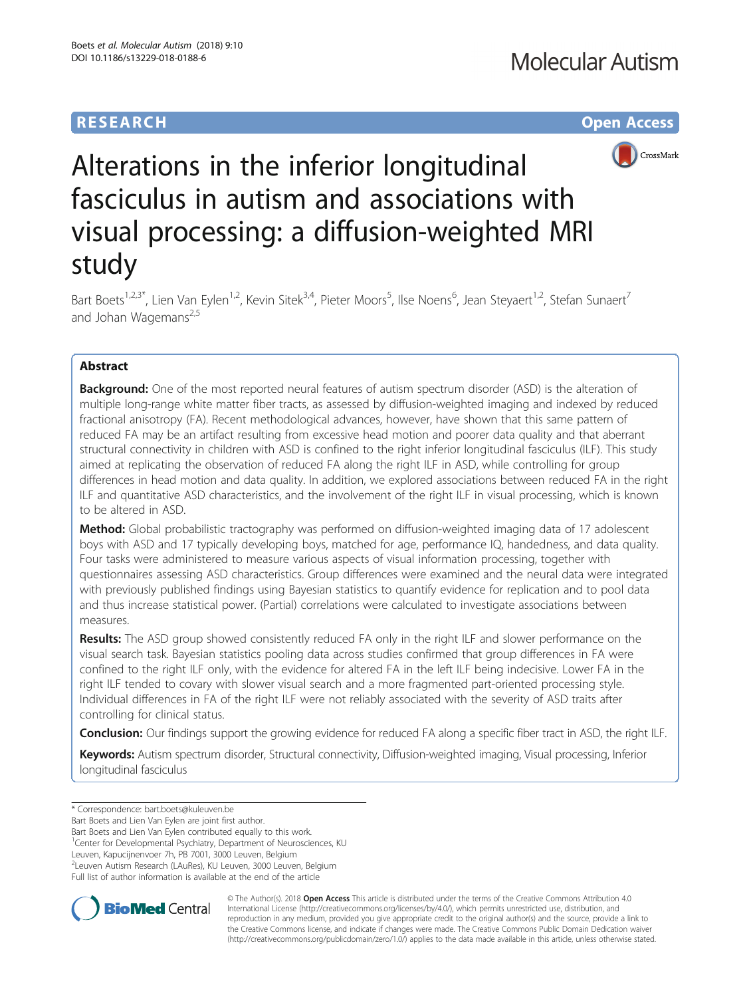## **RESEARCH CHE Open Access**



# Alterations in the inferior longitudinal fasciculus in autism and associations with visual processing: a diffusion-weighted MRI study

Bart Boets<sup>1,2,3\*</sup>, Lien Van Eylen<sup>1,2</sup>, Kevin Sitek<sup>3,4</sup>, Pieter Moors<sup>5</sup>, Ilse Noens<sup>6</sup>, Jean Steyaert<sup>1,2</sup>, Stefan Sunaert<sup>7</sup> and Johan Wagemans $^{2,5}$ 

## Abstract

**Background:** One of the most reported neural features of autism spectrum disorder (ASD) is the alteration of multiple long-range white matter fiber tracts, as assessed by diffusion-weighted imaging and indexed by reduced fractional anisotropy (FA). Recent methodological advances, however, have shown that this same pattern of reduced FA may be an artifact resulting from excessive head motion and poorer data quality and that aberrant structural connectivity in children with ASD is confined to the right inferior longitudinal fasciculus (ILF). This study aimed at replicating the observation of reduced FA along the right ILF in ASD, while controlling for group differences in head motion and data quality. In addition, we explored associations between reduced FA in the right ILF and quantitative ASD characteristics, and the involvement of the right ILF in visual processing, which is known to be altered in ASD.

Method: Global probabilistic tractography was performed on diffusion-weighted imaging data of 17 adolescent boys with ASD and 17 typically developing boys, matched for age, performance IQ, handedness, and data quality. Four tasks were administered to measure various aspects of visual information processing, together with questionnaires assessing ASD characteristics. Group differences were examined and the neural data were integrated with previously published findings using Bayesian statistics to quantify evidence for replication and to pool data and thus increase statistical power. (Partial) correlations were calculated to investigate associations between measures.

Results: The ASD group showed consistently reduced FA only in the right ILF and slower performance on the visual search task. Bayesian statistics pooling data across studies confirmed that group differences in FA were confined to the right ILF only, with the evidence for altered FA in the left ILF being indecisive. Lower FA in the right ILF tended to covary with slower visual search and a more fragmented part-oriented processing style. Individual differences in FA of the right ILF were not reliably associated with the severity of ASD traits after controlling for clinical status.

Conclusion: Our findings support the growing evidence for reduced FA along a specific fiber tract in ASD, the right ILF.

Keywords: Autism spectrum disorder, Structural connectivity, Diffusion-weighted imaging, Visual processing, Inferior longitudinal fasciculus

\* Correspondence: [bart.boets@kuleuven.be](mailto:bart.boets@kuleuven.be)

Bart Boets and Lien Van Eylen contributed equally to this work.

<sup>1</sup> Center for Developmental Psychiatry, Department of Neurosciences, KU

Leuven, Kapucijnenvoer 7h, PB 7001, 3000 Leuven, Belgium

2 Leuven Autism Research (LAuRes), KU Leuven, 3000 Leuven, Belgium

Full list of author information is available at the end of the article



© The Author(s). 2018 Open Access This article is distributed under the terms of the Creative Commons Attribution 4.0 International License [\(http://creativecommons.org/licenses/by/4.0/](http://creativecommons.org/licenses/by/4.0/)), which permits unrestricted use, distribution, and reproduction in any medium, provided you give appropriate credit to the original author(s) and the source, provide a link to the Creative Commons license, and indicate if changes were made. The Creative Commons Public Domain Dedication waiver [\(http://creativecommons.org/publicdomain/zero/1.0/](http://creativecommons.org/publicdomain/zero/1.0/)) applies to the data made available in this article, unless otherwise stated.

Bart Boets and Lien Van Eylen are joint first author.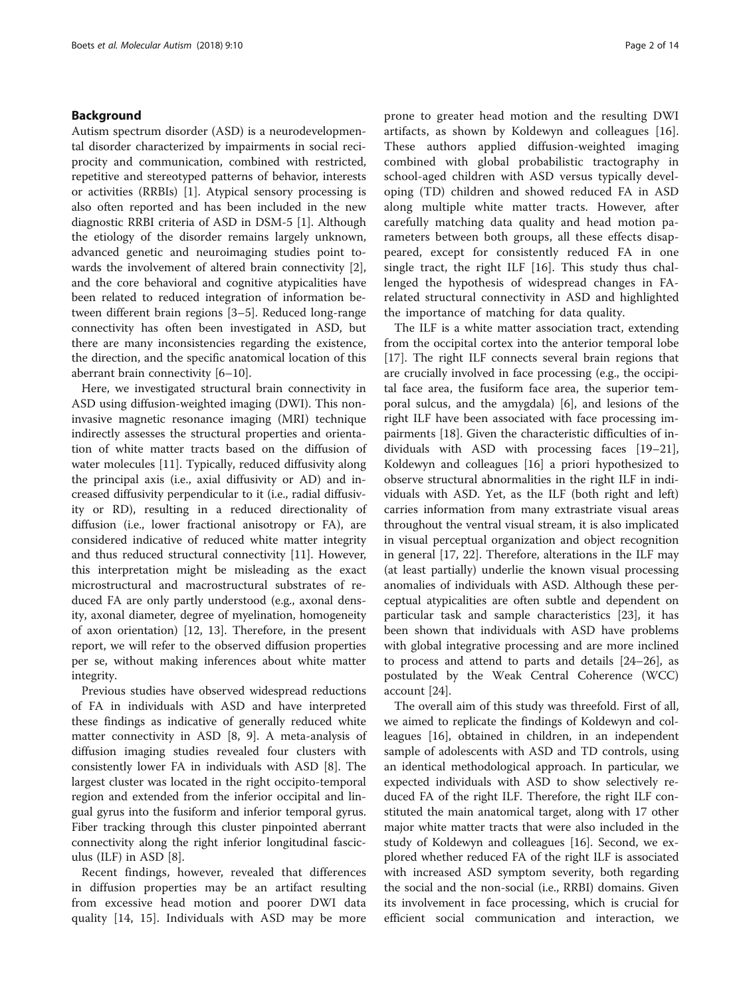## Background

Autism spectrum disorder (ASD) is a neurodevelopmental disorder characterized by impairments in social reciprocity and communication, combined with restricted, repetitive and stereotyped patterns of behavior, interests or activities (RRBIs) [[1\]](#page-11-0). Atypical sensory processing is also often reported and has been included in the new diagnostic RRBI criteria of ASD in DSM-5 [[1\]](#page-11-0). Although the etiology of the disorder remains largely unknown, advanced genetic and neuroimaging studies point towards the involvement of altered brain connectivity [\[2](#page-12-0)], and the core behavioral and cognitive atypicalities have been related to reduced integration of information between different brain regions [\[3](#page-12-0)–[5](#page-12-0)]. Reduced long-range connectivity has often been investigated in ASD, but there are many inconsistencies regarding the existence, the direction, and the specific anatomical location of this aberrant brain connectivity [[6](#page-12-0)–[10](#page-12-0)].

Here, we investigated structural brain connectivity in ASD using diffusion-weighted imaging (DWI). This noninvasive magnetic resonance imaging (MRI) technique indirectly assesses the structural properties and orientation of white matter tracts based on the diffusion of water molecules [\[11](#page-12-0)]. Typically, reduced diffusivity along the principal axis (i.e., axial diffusivity or AD) and increased diffusivity perpendicular to it (i.e., radial diffusivity or RD), resulting in a reduced directionality of diffusion (i.e., lower fractional anisotropy or FA), are considered indicative of reduced white matter integrity and thus reduced structural connectivity [[11](#page-12-0)]. However, this interpretation might be misleading as the exact microstructural and macrostructural substrates of reduced FA are only partly understood (e.g., axonal density, axonal diameter, degree of myelination, homogeneity of axon orientation) [[12, 13\]](#page-12-0). Therefore, in the present report, we will refer to the observed diffusion properties per se, without making inferences about white matter integrity.

Previous studies have observed widespread reductions of FA in individuals with ASD and have interpreted these findings as indicative of generally reduced white matter connectivity in ASD [\[8](#page-12-0), [9](#page-12-0)]. A meta-analysis of diffusion imaging studies revealed four clusters with consistently lower FA in individuals with ASD [\[8\]](#page-12-0). The largest cluster was located in the right occipito-temporal region and extended from the inferior occipital and lingual gyrus into the fusiform and inferior temporal gyrus. Fiber tracking through this cluster pinpointed aberrant connectivity along the right inferior longitudinal fasciculus (ILF) in ASD [\[8](#page-12-0)].

Recent findings, however, revealed that differences in diffusion properties may be an artifact resulting from excessive head motion and poorer DWI data quality [\[14, 15](#page-12-0)]. Individuals with ASD may be more prone to greater head motion and the resulting DWI artifacts, as shown by Koldewyn and colleagues [\[16](#page-12-0)]. These authors applied diffusion-weighted imaging combined with global probabilistic tractography in school-aged children with ASD versus typically developing (TD) children and showed reduced FA in ASD along multiple white matter tracts. However, after carefully matching data quality and head motion parameters between both groups, all these effects disappeared, except for consistently reduced FA in one single tract, the right ILF [[16\]](#page-12-0). This study thus challenged the hypothesis of widespread changes in FArelated structural connectivity in ASD and highlighted the importance of matching for data quality.

The ILF is a white matter association tract, extending from the occipital cortex into the anterior temporal lobe [[17\]](#page-12-0). The right ILF connects several brain regions that are crucially involved in face processing (e.g., the occipital face area, the fusiform face area, the superior temporal sulcus, and the amygdala) [\[6](#page-12-0)], and lesions of the right ILF have been associated with face processing impairments [[18\]](#page-12-0). Given the characteristic difficulties of individuals with ASD with processing faces [[19](#page-12-0)–[21](#page-12-0)], Koldewyn and colleagues [[16\]](#page-12-0) a priori hypothesized to observe structural abnormalities in the right ILF in individuals with ASD. Yet, as the ILF (both right and left) carries information from many extrastriate visual areas throughout the ventral visual stream, it is also implicated in visual perceptual organization and object recognition in general [[17, 22\]](#page-12-0). Therefore, alterations in the ILF may (at least partially) underlie the known visual processing anomalies of individuals with ASD. Although these perceptual atypicalities are often subtle and dependent on particular task and sample characteristics [\[23\]](#page-12-0), it has been shown that individuals with ASD have problems with global integrative processing and are more inclined to process and attend to parts and details [[24](#page-12-0)–[26](#page-12-0)], as postulated by the Weak Central Coherence (WCC) account [\[24\]](#page-12-0).

The overall aim of this study was threefold. First of all, we aimed to replicate the findings of Koldewyn and colleagues [[16\]](#page-12-0), obtained in children, in an independent sample of adolescents with ASD and TD controls, using an identical methodological approach. In particular, we expected individuals with ASD to show selectively reduced FA of the right ILF. Therefore, the right ILF constituted the main anatomical target, along with 17 other major white matter tracts that were also included in the study of Koldewyn and colleagues [\[16](#page-12-0)]. Second, we explored whether reduced FA of the right ILF is associated with increased ASD symptom severity, both regarding the social and the non-social (i.e., RRBI) domains. Given its involvement in face processing, which is crucial for efficient social communication and interaction, we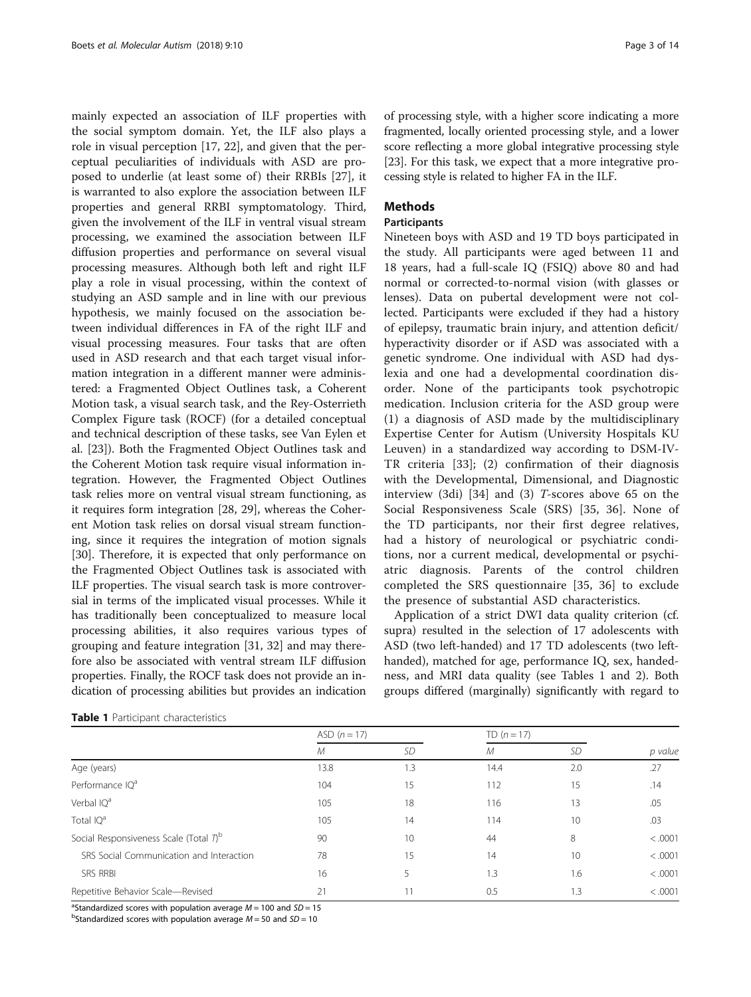<span id="page-2-0"></span>mainly expected an association of ILF properties with the social symptom domain. Yet, the ILF also plays a role in visual perception [[17](#page-12-0), [22\]](#page-12-0), and given that the perceptual peculiarities of individuals with ASD are pro-posed to underlie (at least some of) their RRBIs [[27\]](#page-12-0), it is warranted to also explore the association between ILF properties and general RRBI symptomatology. Third, given the involvement of the ILF in ventral visual stream processing, we examined the association between ILF diffusion properties and performance on several visual processing measures. Although both left and right ILF play a role in visual processing, within the context of studying an ASD sample and in line with our previous hypothesis, we mainly focused on the association between individual differences in FA of the right ILF and visual processing measures. Four tasks that are often used in ASD research and that each target visual information integration in a different manner were administered: a Fragmented Object Outlines task, a Coherent Motion task, a visual search task, and the Rey-Osterrieth Complex Figure task (ROCF) (for a detailed conceptual and technical description of these tasks, see Van Eylen et al. [[23](#page-12-0)]). Both the Fragmented Object Outlines task and the Coherent Motion task require visual information integration. However, the Fragmented Object Outlines task relies more on ventral visual stream functioning, as it requires form integration [\[28, 29](#page-12-0)], whereas the Coherent Motion task relies on dorsal visual stream functioning, since it requires the integration of motion signals [[30\]](#page-12-0). Therefore, it is expected that only performance on the Fragmented Object Outlines task is associated with ILF properties. The visual search task is more controversial in terms of the implicated visual processes. While it has traditionally been conceptualized to measure local processing abilities, it also requires various types of grouping and feature integration [[31, 32\]](#page-12-0) and may therefore also be associated with ventral stream ILF diffusion properties. Finally, the ROCF task does not provide an indication of processing abilities but provides an indication

of processing style, with a higher score indicating a more fragmented, locally oriented processing style, and a lower score reflecting a more global integrative processing style [[23](#page-12-0)]. For this task, we expect that a more integrative processing style is related to higher FA in the ILF.

## **Methods**

#### **Participants**

Nineteen boys with ASD and 19 TD boys participated in the study. All participants were aged between 11 and 18 years, had a full-scale IQ (FSIQ) above 80 and had normal or corrected-to-normal vision (with glasses or lenses). Data on pubertal development were not collected. Participants were excluded if they had a history of epilepsy, traumatic brain injury, and attention deficit/ hyperactivity disorder or if ASD was associated with a genetic syndrome. One individual with ASD had dyslexia and one had a developmental coordination disorder. None of the participants took psychotropic medication. Inclusion criteria for the ASD group were (1) a diagnosis of ASD made by the multidisciplinary Expertise Center for Autism (University Hospitals KU Leuven) in a standardized way according to DSM-IV-TR criteria [\[33](#page-12-0)]; (2) confirmation of their diagnosis with the Developmental, Dimensional, and Diagnostic interview (3di) [[34\]](#page-12-0) and (3) T-scores above 65 on the Social Responsiveness Scale (SRS) [\[35](#page-12-0), [36\]](#page-12-0). None of the TD participants, nor their first degree relatives, had a history of neurological or psychiatric conditions, nor a current medical, developmental or psychiatric diagnosis. Parents of the control children completed the SRS questionnaire [[35, 36](#page-12-0)] to exclude the presence of substantial ASD characteristics.

Application of a strict DWI data quality criterion (cf. supra) resulted in the selection of 17 adolescents with ASD (two left-handed) and 17 TD adolescents (two lefthanded), matched for age, performance IQ, sex, handedness, and MRI data quality (see Tables 1 and [2](#page-3-0)). Both groups differed (marginally) significantly with regard to

|                                                       | $ASD (n = 17)$ |     | TD $(n = 17)$ |     |         |
|-------------------------------------------------------|----------------|-----|---------------|-----|---------|
|                                                       | М              | SD. | M             | SD  | p value |
| Age (years)                                           | 13.8           | 1.3 | 14.4          | 2.0 | .27     |
| Performance IQ <sup>a</sup>                           | 104            | 15  | 112           | 15  | .14     |
| Verbal $IQ^a$                                         | 105            | 18  | 116           | 13  | .05     |
| Total $IQa$                                           | 105            | 14  | 114           | 10  | .03     |
| Social Responsiveness Scale (Total $T$ <sup>b</sup> ) | 90             | 10  | 44            | 8   | < .0001 |
| SRS Social Communication and Interaction              | 78             | 15  | 14            | 10  | < .0001 |
| <b>SRS RRBI</b>                                       | 16             | 5   | 1.3           | 1.6 | < .0001 |
| Repetitive Behavior Scale-Revised                     | 21             | 11  | 0.5           | 1.3 | < .0001 |

Table 1 Participant characteristics

<sup>a</sup>Standardized scores with population average  $M = 100$  and  $SD = 15$ <br>bstandardized scores with population average  $M = 50$  and  $SD = 10$ .

<sup>b</sup>Standardized scores with population average  $M = 50$  and  $SD = 10$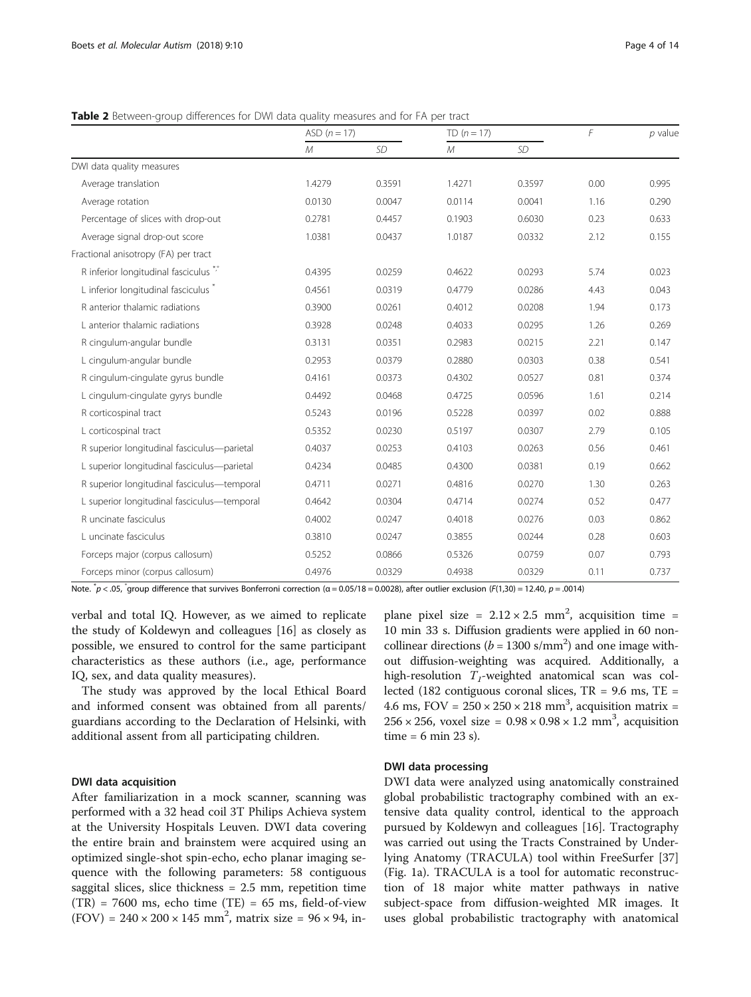## <span id="page-3-0"></span>Table 2 Between-group differences for DWI data quality measures and for FA per tract

|                                                 | $ASD(n=17)$ |           | TD $(n = 17)$ |           | F    | $p$ value |
|-------------------------------------------------|-------------|-----------|---------------|-----------|------|-----------|
|                                                 | M           | <b>SD</b> | $\mathcal M$  | <b>SD</b> |      |           |
| DWI data quality measures                       |             |           |               |           |      |           |
| Average translation                             | 1.4279      | 0.3591    | 1.4271        | 0.3597    | 0.00 | 0.995     |
| Average rotation                                | 0.0130      | 0.0047    | 0.0114        | 0.0041    | 1.16 | 0.290     |
| Percentage of slices with drop-out              | 0.2781      | 0.4457    | 0.1903        | 0.6030    | 0.23 | 0.633     |
| Average signal drop-out score                   | 1.0381      | 0.0437    | 1.0187        | 0.0332    | 2.12 | 0.155     |
| Fractional anisotropy (FA) per tract            |             |           |               |           |      |           |
| R inferior longitudinal fasciculus <sup>*</sup> | 0.4395      | 0.0259    | 0.4622        | 0.0293    | 5.74 | 0.023     |
| L inferior longitudinal fasciculus <sup>*</sup> | 0.4561      | 0.0319    | 0.4779        | 0.0286    | 4.43 | 0.043     |
| R anterior thalamic radiations                  | 0.3900      | 0.0261    | 0.4012        | 0.0208    | 1.94 | 0.173     |
| L anterior thalamic radiations                  | 0.3928      | 0.0248    | 0.4033        | 0.0295    | 1.26 | 0.269     |
| R cingulum-angular bundle                       | 0.3131      | 0.0351    | 0.2983        | 0.0215    | 2.21 | 0.147     |
| L cingulum-angular bundle                       | 0.2953      | 0.0379    | 0.2880        | 0.0303    | 0.38 | 0.541     |
| R cingulum-cingulate gyrus bundle               | 0.4161      | 0.0373    | 0.4302        | 0.0527    | 0.81 | 0.374     |
| L cingulum-cingulate gyrys bundle               | 0.4492      | 0.0468    | 0.4725        | 0.0596    | 1.61 | 0.214     |
| R corticospinal tract                           | 0.5243      | 0.0196    | 0.5228        | 0.0397    | 0.02 | 0.888     |
| L corticospinal tract                           | 0.5352      | 0.0230    | 0.5197        | 0.0307    | 2.79 | 0.105     |
| R superior longitudinal fasciculus-parietal     | 0.4037      | 0.0253    | 0.4103        | 0.0263    | 0.56 | 0.461     |
| L superior longitudinal fasciculus-parietal     | 0.4234      | 0.0485    | 0.4300        | 0.0381    | 0.19 | 0.662     |
| R superior longitudinal fasciculus-temporal     | 0.4711      | 0.0271    | 0.4816        | 0.0270    | 1.30 | 0.263     |
| L superior longitudinal fasciculus-temporal     | 0.4642      | 0.0304    | 0.4714        | 0.0274    | 0.52 | 0.477     |
| R uncinate fasciculus                           | 0.4002      | 0.0247    | 0.4018        | 0.0276    | 0.03 | 0.862     |
| L uncinate fasciculus                           | 0.3810      | 0.0247    | 0.3855        | 0.0244    | 0.28 | 0.603     |
| Forceps major (corpus callosum)                 | 0.5252      | 0.0866    | 0.5326        | 0.0759    | 0.07 | 0.793     |
| Forceps minor (corpus callosum)                 | 0.4976      | 0.0329    | 0.4938        | 0.0329    | 0.11 | 0.737     |

Note.  $\dot{p}$  < .05,  $\dot{g}$  roup difference that survives Bonferroni correction (α = 0.05/18 = 0.0028), after outlier exclusion (F(1,30) = 12.40,  $p = .0014$ )

verbal and total IQ. However, as we aimed to replicate the study of Koldewyn and colleagues [\[16](#page-12-0)] as closely as possible, we ensured to control for the same participant characteristics as these authors (i.e., age, performance IQ, sex, and data quality measures).

The study was approved by the local Ethical Board and informed consent was obtained from all parents/ guardians according to the Declaration of Helsinki, with additional assent from all participating children.

#### DWI data acquisition

After familiarization in a mock scanner, scanning was performed with a 32 head coil 3T Philips Achieva system at the University Hospitals Leuven. DWI data covering the entire brain and brainstem were acquired using an optimized single-shot spin-echo, echo planar imaging sequence with the following parameters: 58 contiguous saggital slices, slice thickness = 2.5 mm, repetition time  $(TR) = 7600$  ms, echo time  $(TE) = 65$  ms, field-of-view  $(FOV) = 240 \times 200 \times 145$  mm<sup>2</sup>, matrix size = 96  $\times$  94, in-

plane pixel size =  $2.12 \times 2.5$  mm<sup>2</sup>, acquisition time = 10 min 33 s. Diffusion gradients were applied in 60 noncollinear directions ( $b = 1300$  s/mm<sup>2</sup>) and one image without diffusion-weighting was acquired. Additionally, a high-resolution  $T_1$ -weighted anatomical scan was collected (182 contiguous coronal slices,  $TR = 9.6$  ms,  $TE =$ 4.6 ms,  $FOV = 250 \times 250 \times 218$  mm<sup>3</sup>, acquisition matrix =  $256 \times 256$ , voxel size =  $0.98 \times 0.98 \times 1.2$  mm<sup>3</sup>, acquisition  $time = 6 min 23 s$ .

#### DWI data processing

DWI data were analyzed using anatomically constrained global probabilistic tractography combined with an extensive data quality control, identical to the approach pursued by Koldewyn and colleagues [[16\]](#page-12-0). Tractography was carried out using the Tracts Constrained by Underlying Anatomy (TRACULA) tool within FreeSurfer [[37](#page-12-0)] (Fig. [1a](#page-4-0)). TRACULA is a tool for automatic reconstruction of 18 major white matter pathways in native subject-space from diffusion-weighted MR images. It uses global probabilistic tractography with anatomical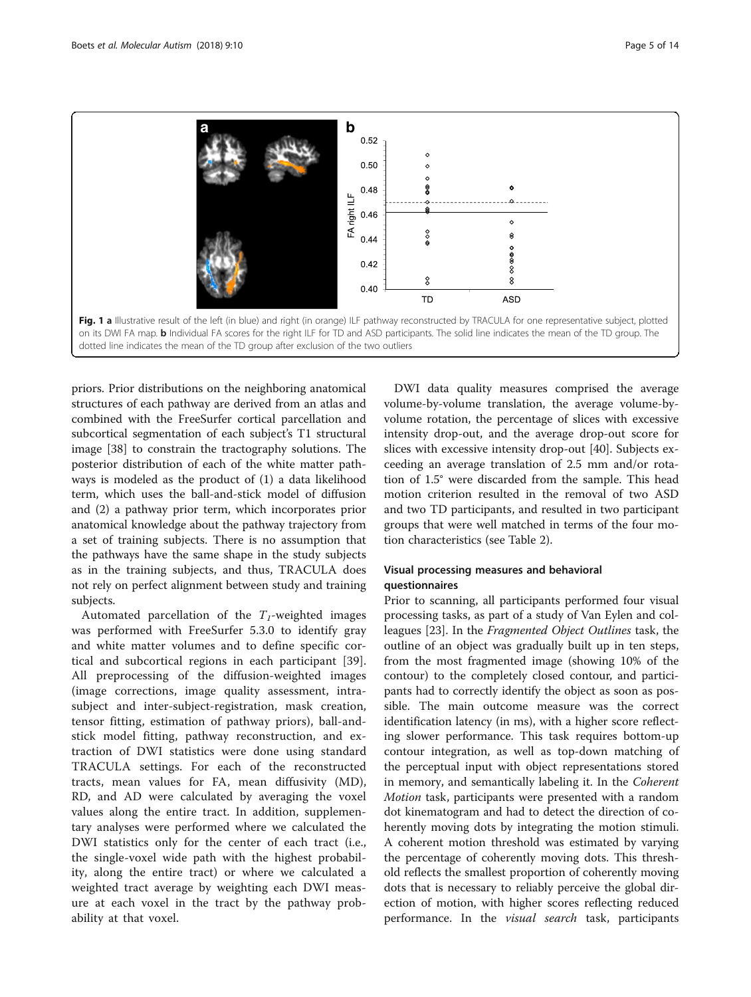<span id="page-4-0"></span>

priors. Prior distributions on the neighboring anatomical structures of each pathway are derived from an atlas and combined with the FreeSurfer cortical parcellation and subcortical segmentation of each subject's T1 structural image [\[38\]](#page-12-0) to constrain the tractography solutions. The posterior distribution of each of the white matter pathways is modeled as the product of (1) a data likelihood term, which uses the ball-and-stick model of diffusion and (2) a pathway prior term, which incorporates prior anatomical knowledge about the pathway trajectory from a set of training subjects. There is no assumption that the pathways have the same shape in the study subjects as in the training subjects, and thus, TRACULA does not rely on perfect alignment between study and training subjects.

Automated parcellation of the  $T_1$ -weighted images was performed with FreeSurfer 5.3.0 to identify gray and white matter volumes and to define specific cortical and subcortical regions in each participant [\[39](#page-12-0)]. All preprocessing of the diffusion-weighted images (image corrections, image quality assessment, intrasubject and inter-subject-registration, mask creation, tensor fitting, estimation of pathway priors), ball-andstick model fitting, pathway reconstruction, and extraction of DWI statistics were done using standard TRACULA settings. For each of the reconstructed tracts, mean values for FA, mean diffusivity (MD), RD, and AD were calculated by averaging the voxel values along the entire tract. In addition, supplementary analyses were performed where we calculated the DWI statistics only for the center of each tract (i.e., the single-voxel wide path with the highest probability, along the entire tract) or where we calculated a weighted tract average by weighting each DWI measure at each voxel in the tract by the pathway probability at that voxel.

DWI data quality measures comprised the average volume-by-volume translation, the average volume-byvolume rotation, the percentage of slices with excessive intensity drop-out, and the average drop-out score for slices with excessive intensity drop-out [[40\]](#page-12-0). Subjects exceeding an average translation of 2.5 mm and/or rotation of 1.5° were discarded from the sample. This head motion criterion resulted in the removal of two ASD and two TD participants, and resulted in two participant groups that were well matched in terms of the four motion characteristics (see Table [2](#page-3-0)).

## Visual processing measures and behavioral questionnaires

Prior to scanning, all participants performed four visual processing tasks, as part of a study of Van Eylen and colleagues [\[23](#page-12-0)]. In the Fragmented Object Outlines task, the outline of an object was gradually built up in ten steps, from the most fragmented image (showing 10% of the contour) to the completely closed contour, and participants had to correctly identify the object as soon as possible. The main outcome measure was the correct identification latency (in ms), with a higher score reflecting slower performance. This task requires bottom-up contour integration, as well as top-down matching of the perceptual input with object representations stored in memory, and semantically labeling it. In the Coherent Motion task, participants were presented with a random dot kinematogram and had to detect the direction of coherently moving dots by integrating the motion stimuli. A coherent motion threshold was estimated by varying the percentage of coherently moving dots. This threshold reflects the smallest proportion of coherently moving dots that is necessary to reliably perceive the global direction of motion, with higher scores reflecting reduced performance. In the *visual search* task, participants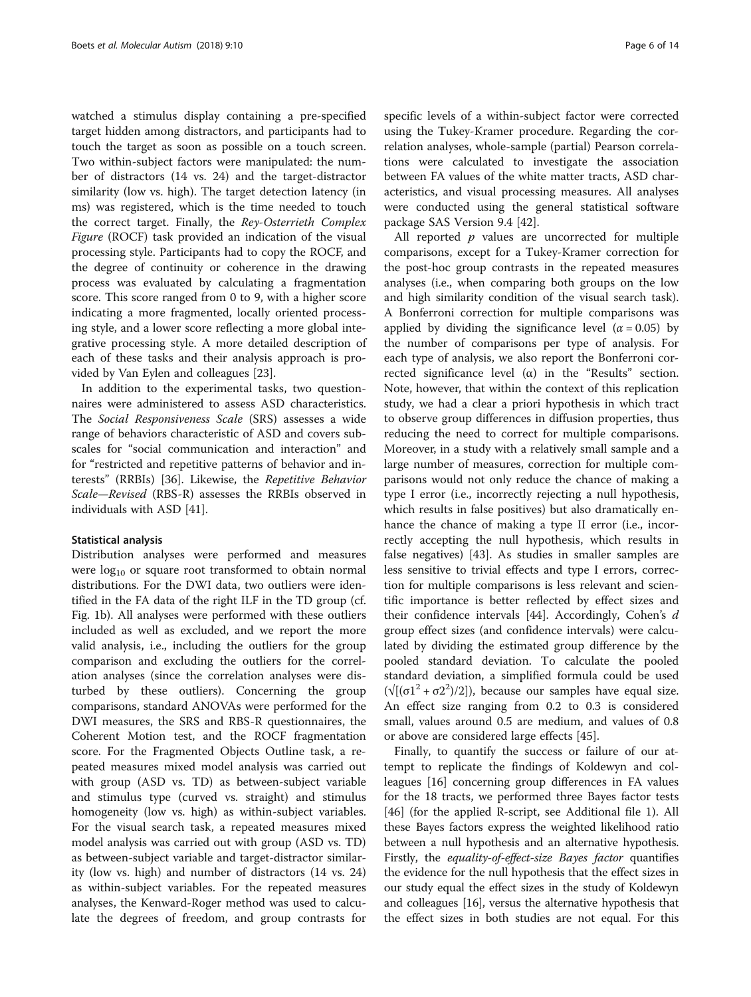<span id="page-5-0"></span>watched a stimulus display containing a pre-specified target hidden among distractors, and participants had to touch the target as soon as possible on a touch screen. Two within-subject factors were manipulated: the number of distractors (14 vs. 24) and the target-distractor similarity (low vs. high). The target detection latency (in ms) was registered, which is the time needed to touch the correct target. Finally, the Rey-Osterrieth Complex Figure (ROCF) task provided an indication of the visual processing style. Participants had to copy the ROCF, and the degree of continuity or coherence in the drawing process was evaluated by calculating a fragmentation score. This score ranged from 0 to 9, with a higher score indicating a more fragmented, locally oriented processing style, and a lower score reflecting a more global integrative processing style. A more detailed description of each of these tasks and their analysis approach is provided by Van Eylen and colleagues [[23\]](#page-12-0).

In addition to the experimental tasks, two questionnaires were administered to assess ASD characteristics. The Social Responsiveness Scale (SRS) assesses a wide range of behaviors characteristic of ASD and covers subscales for "social communication and interaction" and for "restricted and repetitive patterns of behavior and interests" (RRBIs) [[36\]](#page-12-0). Likewise, the Repetitive Behavior Scale—Revised (RBS-R) assesses the RRBIs observed in individuals with ASD [[41\]](#page-12-0).

## Statistical analysis

Distribution analyses were performed and measures were  $log_{10}$  or square root transformed to obtain normal distributions. For the DWI data, two outliers were identified in the FA data of the right ILF in the TD group (cf. Fig. [1b](#page-4-0)). All analyses were performed with these outliers included as well as excluded, and we report the more valid analysis, i.e., including the outliers for the group comparison and excluding the outliers for the correlation analyses (since the correlation analyses were disturbed by these outliers). Concerning the group comparisons, standard ANOVAs were performed for the DWI measures, the SRS and RBS-R questionnaires, the Coherent Motion test, and the ROCF fragmentation score. For the Fragmented Objects Outline task, a repeated measures mixed model analysis was carried out with group (ASD vs. TD) as between-subject variable and stimulus type (curved vs. straight) and stimulus homogeneity (low vs. high) as within-subject variables. For the visual search task, a repeated measures mixed model analysis was carried out with group (ASD vs. TD) as between-subject variable and target-distractor similarity (low vs. high) and number of distractors (14 vs. 24) as within-subject variables. For the repeated measures analyses, the Kenward-Roger method was used to calculate the degrees of freedom, and group contrasts for specific levels of a within-subject factor were corrected using the Tukey-Kramer procedure. Regarding the correlation analyses, whole-sample (partial) Pearson correlations were calculated to investigate the association between FA values of the white matter tracts, ASD characteristics, and visual processing measures. All analyses were conducted using the general statistical software package SAS Version 9.4 [[42\]](#page-12-0).

All reported  $p$  values are uncorrected for multiple comparisons, except for a Tukey-Kramer correction for the post-hoc group contrasts in the repeated measures analyses (i.e., when comparing both groups on the low and high similarity condition of the visual search task). A Bonferroni correction for multiple comparisons was applied by dividing the significance level ( $\alpha = 0.05$ ) by the number of comparisons per type of analysis. For each type of analysis, we also report the Bonferroni cor-rected significance level (α) in the "[Results](#page-6-0)" section. Note, however, that within the context of this replication study, we had a clear a priori hypothesis in which tract to observe group differences in diffusion properties, thus reducing the need to correct for multiple comparisons. Moreover, in a study with a relatively small sample and a large number of measures, correction for multiple comparisons would not only reduce the chance of making a type I error (i.e., incorrectly rejecting a null hypothesis, which results in false positives) but also dramatically enhance the chance of making a type II error (i.e., incorrectly accepting the null hypothesis, which results in false negatives) [\[43](#page-12-0)]. As studies in smaller samples are less sensitive to trivial effects and type I errors, correction for multiple comparisons is less relevant and scientific importance is better reflected by effect sizes and their confidence intervals [\[44](#page-12-0)]. Accordingly, Cohen's d group effect sizes (and confidence intervals) were calculated by dividing the estimated group difference by the pooled standard deviation. To calculate the pooled standard deviation, a simplified formula could be used  $(\sqrt{[(\sigma_1^2 + \sigma_2^2)/2]}),$  because our samples have equal size. An effect size ranging from 0.2 to 0.3 is considered small, values around 0.5 are medium, and values of 0.8 or above are considered large effects [\[45](#page-12-0)].

Finally, to quantify the success or failure of our attempt to replicate the findings of Koldewyn and colleagues [[16\]](#page-12-0) concerning group differences in FA values for the 18 tracts, we performed three Bayes factor tests [[46\]](#page-12-0) (for the applied R-script, see Additional file [1](#page-11-0)). All these Bayes factors express the weighted likelihood ratio between a null hypothesis and an alternative hypothesis. Firstly, the equality-of-effect-size Bayes factor quantifies the evidence for the null hypothesis that the effect sizes in our study equal the effect sizes in the study of Koldewyn and colleagues [\[16\]](#page-12-0), versus the alternative hypothesis that the effect sizes in both studies are not equal. For this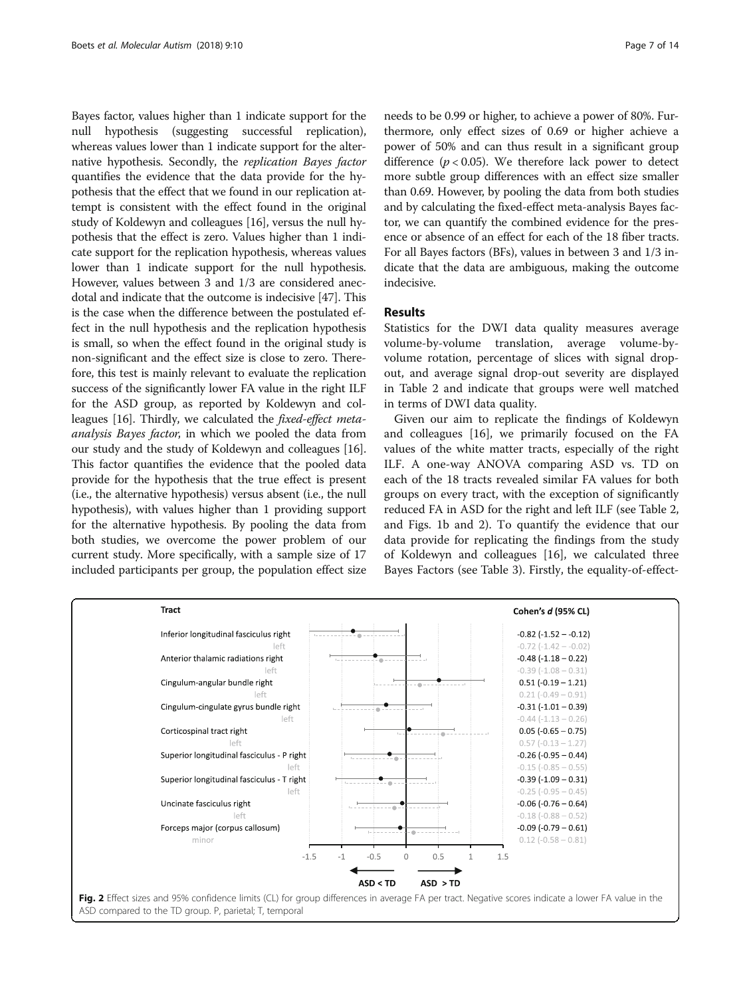<span id="page-6-0"></span>Bayes factor, values higher than 1 indicate support for the null hypothesis (suggesting successful replication), whereas values lower than 1 indicate support for the alternative hypothesis. Secondly, the replication Bayes factor quantifies the evidence that the data provide for the hypothesis that the effect that we found in our replication attempt is consistent with the effect found in the original study of Koldewyn and colleagues [\[16](#page-12-0)], versus the null hypothesis that the effect is zero. Values higher than 1 indicate support for the replication hypothesis, whereas values lower than 1 indicate support for the null hypothesis. However, values between 3 and 1/3 are considered anecdotal and indicate that the outcome is indecisive [\[47\]](#page-12-0). This is the case when the difference between the postulated effect in the null hypothesis and the replication hypothesis is small, so when the effect found in the original study is non-significant and the effect size is close to zero. Therefore, this test is mainly relevant to evaluate the replication success of the significantly lower FA value in the right ILF for the ASD group, as reported by Koldewyn and col-leagues [\[16](#page-12-0)]. Thirdly, we calculated the *fixed-effect meta*analysis Bayes factor, in which we pooled the data from our study and the study of Koldewyn and colleagues [[16](#page-12-0)]. This factor quantifies the evidence that the pooled data provide for the hypothesis that the true effect is present (i.e., the alternative hypothesis) versus absent (i.e., the null hypothesis), with values higher than 1 providing support for the alternative hypothesis. By pooling the data from both studies, we overcome the power problem of our current study. More specifically, with a sample size of 17 included participants per group, the population effect size needs to be 0.99 or higher, to achieve a power of 80%. Furthermore, only effect sizes of 0.69 or higher achieve a power of 50% and can thus result in a significant group difference ( $p < 0.05$ ). We therefore lack power to detect more subtle group differences with an effect size smaller than 0.69. However, by pooling the data from both studies and by calculating the fixed-effect meta-analysis Bayes factor, we can quantify the combined evidence for the presence or absence of an effect for each of the 18 fiber tracts. For all Bayes factors (BFs), values in between 3 and 1/3 indicate that the data are ambiguous, making the outcome indecisive.

## Results

Statistics for the DWI data quality measures average volume-by-volume translation, average volume-byvolume rotation, percentage of slices with signal dropout, and average signal drop-out severity are displayed in Table [2](#page-3-0) and indicate that groups were well matched in terms of DWI data quality.

Given our aim to replicate the findings of Koldewyn and colleagues [[16](#page-12-0)], we primarily focused on the FA values of the white matter tracts, especially of the right ILF. A one-way ANOVA comparing ASD vs. TD on each of the 18 tracts revealed similar FA values for both groups on every tract, with the exception of significantly reduced FA in ASD for the right and left ILF (see Table [2](#page-3-0), and Figs. [1b](#page-4-0) and 2). To quantify the evidence that our data provide for replicating the findings from the study of Koldewyn and colleagues [\[16](#page-12-0)], we calculated three Bayes Factors (see Table [3](#page-7-0)). Firstly, the equality-of-effect-

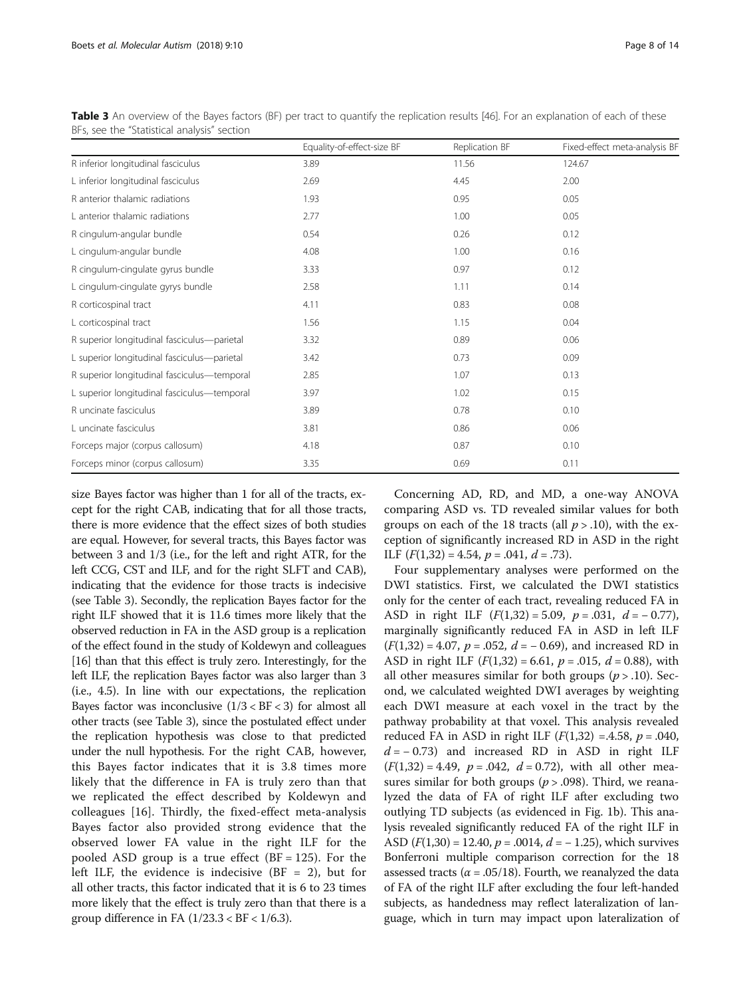|                                             | Equality-of-effect-size BF | Replication BF | Fixed-effect meta-analysis BF |
|---------------------------------------------|----------------------------|----------------|-------------------------------|
| R inferior longitudinal fasciculus          | 3.89                       | 11.56          | 124.67                        |
| L inferior longitudinal fasciculus          | 2.69                       | 4.45           | 2.00                          |
| R anterior thalamic radiations              | 1.93                       | 0.95           | 0.05                          |
| L anterior thalamic radiations              | 2.77                       | 1.00           | 0.05                          |
| R cingulum-angular bundle                   | 0.54                       | 0.26           | 0.12                          |
| L cingulum-angular bundle                   | 4.08                       | 1.00           | 0.16                          |
| R cingulum-cingulate gyrus bundle           | 3.33                       | 0.97           | 0.12                          |
| L cingulum-cingulate gyrys bundle           | 2.58                       | 1.11           | 0.14                          |
| R corticospinal tract                       | 4.11                       | 0.83           | 0.08                          |
| L corticospinal tract                       | 1.56                       | 1.15           | 0.04                          |
| R superior longitudinal fasciculus-parietal | 3.32                       | 0.89           | 0.06                          |
| L superior longitudinal fasciculus-parietal | 3.42                       | 0.73           | 0.09                          |
| R superior longitudinal fasciculus-temporal | 2.85                       | 1.07           | 0.13                          |
| L superior longitudinal fasciculus-temporal | 3.97                       | 1.02           | 0.15                          |
| R uncinate fasciculus                       | 3.89                       | 0.78           | 0.10                          |
| L uncinate fasciculus                       | 3.81                       | 0.86           | 0.06                          |
| Forceps major (corpus callosum)             | 4.18                       | 0.87           | 0.10                          |
| Forceps minor (corpus callosum)             | 3.35                       | 0.69           | 0.11                          |

<span id="page-7-0"></span>Table 3 An overview of the Bayes factors (BF) per tract to quantify the replication results [\[46\]](#page-12-0). For an explanation of each of these BFs, see the "[Statistical analysis](#page-5-0)" section

size Bayes factor was higher than 1 for all of the tracts, except for the right CAB, indicating that for all those tracts, there is more evidence that the effect sizes of both studies are equal. However, for several tracts, this Bayes factor was between 3 and 1/3 (i.e., for the left and right ATR, for the left CCG, CST and ILF, and for the right SLFT and CAB), indicating that the evidence for those tracts is indecisive (see Table 3). Secondly, the replication Bayes factor for the right ILF showed that it is 11.6 times more likely that the observed reduction in FA in the ASD group is a replication of the effect found in the study of Koldewyn and colleagues [[16](#page-12-0)] than that this effect is truly zero. Interestingly, for the left ILF, the replication Bayes factor was also larger than 3 (i.e., 4.5). In line with our expectations, the replication Bayes factor was inconclusive  $(1/3 < BF < 3)$  for almost all other tracts (see Table 3), since the postulated effect under the replication hypothesis was close to that predicted under the null hypothesis. For the right CAB, however, this Bayes factor indicates that it is 3.8 times more likely that the difference in FA is truly zero than that we replicated the effect described by Koldewyn and colleagues [\[16](#page-12-0)]. Thirdly, the fixed-effect meta-analysis Bayes factor also provided strong evidence that the observed lower FA value in the right ILF for the pooled ASD group is a true effect ( $BF = 125$ ). For the left ILF, the evidence is indecisive  $(BF = 2)$ , but for all other tracts, this factor indicated that it is 6 to 23 times more likely that the effect is truly zero than that there is a group difference in FA  $(1/23.3 < BF < 1/6.3)$ .

Concerning AD, RD, and MD, a one-way ANOVA comparing ASD vs. TD revealed similar values for both groups on each of the 18 tracts (all  $p > .10$ ), with the exception of significantly increased RD in ASD in the right ILF  $(F(1,32) = 4.54, p = .041, d = .73)$ .

Four supplementary analyses were performed on the DWI statistics. First, we calculated the DWI statistics only for the center of each tract, revealing reduced FA in ASD in right ILF  $(F(1,32) = 5.09, p = .031, d = -0.77)$ , marginally significantly reduced FA in ASD in left ILF  $(F(1,32) = 4.07, p = .052, d = -0.69)$ , and increased RD in ASD in right ILF  $(F(1,32) = 6.61, p = .015, d = 0.88)$ , with all other measures similar for both groups  $(p > .10)$ . Second, we calculated weighted DWI averages by weighting each DWI measure at each voxel in the tract by the pathway probability at that voxel. This analysis revealed reduced FA in ASD in right ILF  $(F(1,32) = .4.58, p = .040,$  $d = -0.73$ ) and increased RD in ASD in right ILF  $(F(1,32) = 4.49, p = .042, d = 0.72)$ , with all other measures similar for both groups ( $p > .098$ ). Third, we reanalyzed the data of FA of right ILF after excluding two outlying TD subjects (as evidenced in Fig. [1b](#page-4-0)). This analysis revealed significantly reduced FA of the right ILF in ASD ( $F(1,30) = 12.40$ ,  $p = .0014$ ,  $d = -1.25$ ), which survives Bonferroni multiple comparison correction for the 18 assessed tracts ( $\alpha$  = .05/18). Fourth, we reanalyzed the data of FA of the right ILF after excluding the four left-handed subjects, as handedness may reflect lateralization of language, which in turn may impact upon lateralization of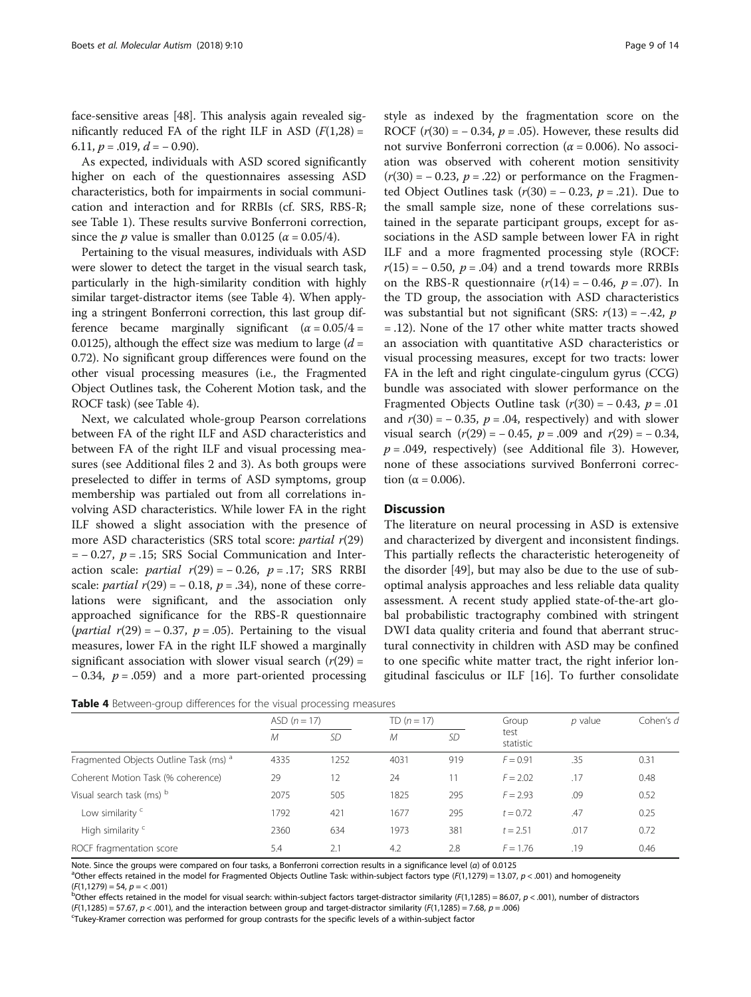face-sensitive areas [\[48](#page-12-0)]. This analysis again revealed significantly reduced FA of the right ILF in ASD  $(F(1,28) =$ 6.11,  $p = .019$ ,  $d = -0.90$ ).

As expected, individuals with ASD scored significantly higher on each of the questionnaires assessing ASD characteristics, both for impairments in social communication and interaction and for RRBIs (cf. SRS, RBS-R; see Table [1\)](#page-2-0). These results survive Bonferroni correction, since the *p* value is smaller than 0.0125 ( $\alpha$  = 0.05/4).

Pertaining to the visual measures, individuals with ASD were slower to detect the target in the visual search task, particularly in the high-similarity condition with highly similar target-distractor items (see Table 4). When applying a stringent Bonferroni correction, this last group difference became marginally significant  $(\alpha = 0.05/4 =$ 0.0125), although the effect size was medium to large  $(d =$ 0.72). No significant group differences were found on the other visual processing measures (i.e., the Fragmented Object Outlines task, the Coherent Motion task, and the ROCF task) (see Table 4).

Next, we calculated whole-group Pearson correlations between FA of the right ILF and ASD characteristics and between FA of the right ILF and visual processing measures (see Additional files [2](#page-11-0) and [3](#page-11-0)). As both groups were preselected to differ in terms of ASD symptoms, group membership was partialed out from all correlations involving ASD characteristics. While lower FA in the right ILF showed a slight association with the presence of more ASD characteristics (SRS total score: *partial*  $r(29)$ )  $= -0.27$ ,  $p = .15$ ; SRS Social Communication and Interaction scale: *partial*  $r(29) = -0.26$ ,  $p = .17$ ; SRS RRBI scale: *partial*  $r(29) = -0.18$ ,  $p = .34$ ), none of these correlations were significant, and the association only approached significance for the RBS-R questionnaire (*partial*  $r(29) = -0.37$ ,  $p = .05$ ). Pertaining to the visual measures, lower FA in the right ILF showed a marginally significant association with slower visual search  $(r(29) =$  $-0.34$ ,  $p = .059$ ) and a more part-oriented processing style as indexed by the fragmentation score on the ROCF  $(r(30) = -0.34, p = .05)$ . However, these results did not survive Bonferroni correction ( $\alpha$  = 0.006). No association was observed with coherent motion sensitivity  $(r(30) = -0.23, p = .22)$  or performance on the Fragmented Object Outlines task  $(r(30) = -0.23, p = .21)$ . Due to the small sample size, none of these correlations sustained in the separate participant groups, except for associations in the ASD sample between lower FA in right ILF and a more fragmented processing style (ROCF:  $r(15) = -0.50$ ,  $p = .04$ ) and a trend towards more RRBIs on the RBS-R questionnaire  $(r(14) = -0.46, p = .07)$ . In the TD group, the association with ASD characteristics was substantial but not significant (SRS:  $r(13) = -.42$ , p = .12). None of the 17 other white matter tracts showed an association with quantitative ASD characteristics or visual processing measures, except for two tracts: lower FA in the left and right cingulate-cingulum gyrus (CCG) bundle was associated with slower performance on the Fragmented Objects Outline task  $(r(30) = -0.43, p = .01)$ and  $r(30) = -0.35$ ,  $p = .04$ , respectively) and with slower visual search  $(r(29) = -0.45, p = .009$  and  $r(29) = -0.34,$  $p = .049$ , respectively) (see Additional file [3](#page-11-0)). However, none of these associations survived Bonferroni correction ( $\alpha$  = 0.006).

## **Discussion**

The literature on neural processing in ASD is extensive and characterized by divergent and inconsistent findings. This partially reflects the characteristic heterogeneity of the disorder [[49\]](#page-12-0), but may also be due to the use of suboptimal analysis approaches and less reliable data quality assessment. A recent study applied state-of-the-art global probabilistic tractography combined with stringent DWI data quality criteria and found that aberrant structural connectivity in children with ASD may be confined to one specific white matter tract, the right inferior longitudinal fasciculus or ILF [[16\]](#page-12-0). To further consolidate

|  |  | <b>Table 4</b> Between-group differences for the visual processing measures |  |
|--|--|-----------------------------------------------------------------------------|--|
|  |  |                                                                             |  |

|                                        | $ASD (n = 17)$ |      | TD $(n = 17)$ |     | Group             | $p$ value | Cohen's d |
|----------------------------------------|----------------|------|---------------|-----|-------------------|-----------|-----------|
|                                        | М              | SD   | М             | SD  | test<br>statistic |           |           |
| Fragmented Objects Outline Task (ms) a | 4335           | 1252 | 4031          | 919 | $F = 0.91$        | .35       | 0.31      |
| Coherent Motion Task (% coherence)     | 29             | 12   | 24            |     | $F = 2.02$        | .17       | 0.48      |
| Visual search task (ms) b              | 2075           | 505  | 1825          | 295 | $F = 2.93$        | .09       | 0.52      |
| Low similarity <sup>c</sup>            | 1792           | 421  | 1677          | 295 | $t = 0.72$        | .47       | 0.25      |
| High similarity <sup>c</sup>           | 2360           | 634  | 1973          | 381 | $t = 2.51$        | .017      | 0.72      |
| ROCF fragmentation score               | 5.4            | 2.1  | 4.2           | 2.8 | $F = 1.76$        | .19       | 0.46      |

Note. Since the groups were compared on four tasks, a Bonferroni correction results in a significance level (a) of 0.0125

<sup>a</sup>Other effects retained in the model for Fragmented Objects Outline Task: within-subject factors type (F(1,1279) = 13.07, p < .001) and homogeneity

 $(F(1, 1279) = 54, p = 5001)$ 

 $b$ Other effects retained in the model for visual search: within-subject factors target-distractor similarity (F(1,1285) = 86.07, p < .001), number of distractors  $(F(1,1285) = 57.67, p < .001)$ , and the interaction between group and target-distractor similarity  $(F(1,1285) = 7.68, p = .006)$ 

Tukey-Kramer correction was performed for group contrasts for the specific levels of a within-subject factor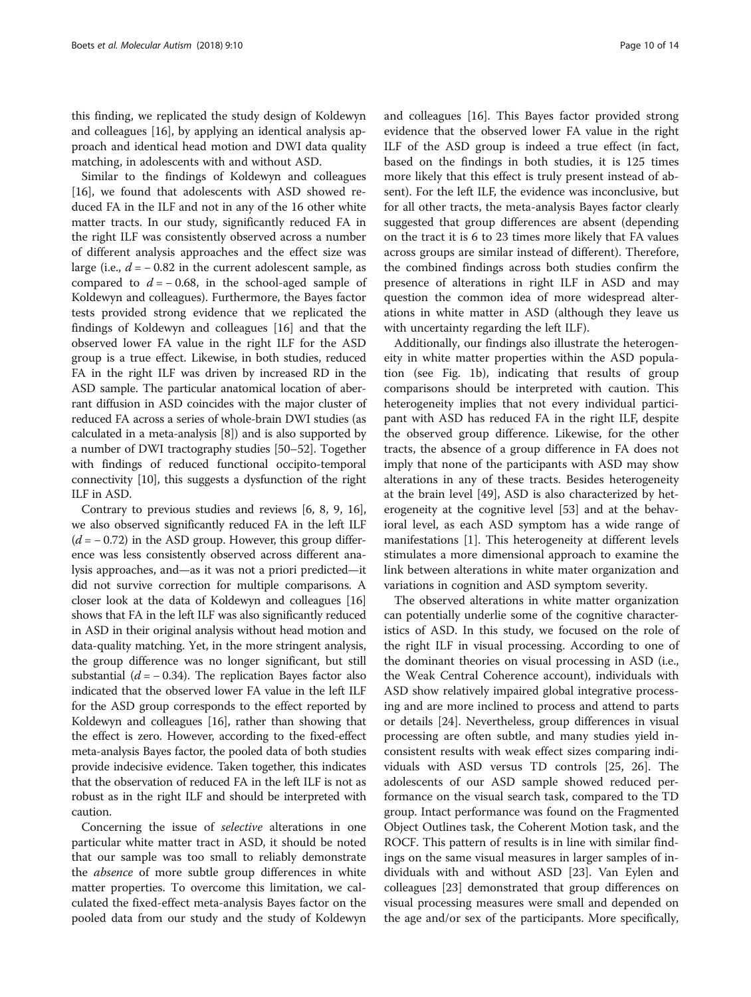this finding, we replicated the study design of Koldewyn and colleagues [\[16\]](#page-12-0), by applying an identical analysis approach and identical head motion and DWI data quality matching, in adolescents with and without ASD.

Similar to the findings of Koldewyn and colleagues [[16\]](#page-12-0), we found that adolescents with ASD showed reduced FA in the ILF and not in any of the 16 other white matter tracts. In our study, significantly reduced FA in the right ILF was consistently observed across a number of different analysis approaches and the effect size was large (i.e.,  $d = -0.82$  in the current adolescent sample, as compared to  $d = -0.68$ , in the school-aged sample of Koldewyn and colleagues). Furthermore, the Bayes factor tests provided strong evidence that we replicated the findings of Koldewyn and colleagues [\[16\]](#page-12-0) and that the observed lower FA value in the right ILF for the ASD group is a true effect. Likewise, in both studies, reduced FA in the right ILF was driven by increased RD in the ASD sample. The particular anatomical location of aberrant diffusion in ASD coincides with the major cluster of reduced FA across a series of whole-brain DWI studies (as calculated in a meta-analysis [\[8\]](#page-12-0)) and is also supported by a number of DWI tractography studies [\[50](#page-12-0)–[52\]](#page-12-0). Together with findings of reduced functional occipito-temporal connectivity [\[10\]](#page-12-0), this suggests a dysfunction of the right ILF in ASD.

Contrary to previous studies and reviews [[6](#page-12-0), [8](#page-12-0), [9](#page-12-0), [16](#page-12-0)], we also observed significantly reduced FA in the left ILF  $(d = -0.72)$  in the ASD group. However, this group difference was less consistently observed across different analysis approaches, and—as it was not a priori predicted—it did not survive correction for multiple comparisons. A closer look at the data of Koldewyn and colleagues [[16](#page-12-0)] shows that FA in the left ILF was also significantly reduced in ASD in their original analysis without head motion and data-quality matching. Yet, in the more stringent analysis, the group difference was no longer significant, but still substantial  $(d = -0.34)$ . The replication Bayes factor also indicated that the observed lower FA value in the left ILF for the ASD group corresponds to the effect reported by Koldewyn and colleagues [[16](#page-12-0)], rather than showing that the effect is zero. However, according to the fixed-effect meta-analysis Bayes factor, the pooled data of both studies provide indecisive evidence. Taken together, this indicates that the observation of reduced FA in the left ILF is not as robust as in the right ILF and should be interpreted with caution.

Concerning the issue of selective alterations in one particular white matter tract in ASD, it should be noted that our sample was too small to reliably demonstrate the absence of more subtle group differences in white matter properties. To overcome this limitation, we calculated the fixed-effect meta-analysis Bayes factor on the pooled data from our study and the study of Koldewyn and colleagues [[16\]](#page-12-0). This Bayes factor provided strong evidence that the observed lower FA value in the right ILF of the ASD group is indeed a true effect (in fact, based on the findings in both studies, it is 125 times more likely that this effect is truly present instead of absent). For the left ILF, the evidence was inconclusive, but for all other tracts, the meta-analysis Bayes factor clearly suggested that group differences are absent (depending on the tract it is 6 to 23 times more likely that FA values across groups are similar instead of different). Therefore, the combined findings across both studies confirm the presence of alterations in right ILF in ASD and may question the common idea of more widespread alterations in white matter in ASD (although they leave us with uncertainty regarding the left ILF).

Additionally, our findings also illustrate the heterogeneity in white matter properties within the ASD population (see Fig. [1](#page-4-0)b), indicating that results of group comparisons should be interpreted with caution. This heterogeneity implies that not every individual participant with ASD has reduced FA in the right ILF, despite the observed group difference. Likewise, for the other tracts, the absence of a group difference in FA does not imply that none of the participants with ASD may show alterations in any of these tracts. Besides heterogeneity at the brain level [[49](#page-12-0)], ASD is also characterized by heterogeneity at the cognitive level [[53](#page-13-0)] and at the behavioral level, as each ASD symptom has a wide range of manifestations [\[1\]](#page-11-0). This heterogeneity at different levels stimulates a more dimensional approach to examine the link between alterations in white mater organization and variations in cognition and ASD symptom severity.

The observed alterations in white matter organization can potentially underlie some of the cognitive characteristics of ASD. In this study, we focused on the role of the right ILF in visual processing. According to one of the dominant theories on visual processing in ASD (i.e., the Weak Central Coherence account), individuals with ASD show relatively impaired global integrative processing and are more inclined to process and attend to parts or details [[24](#page-12-0)]. Nevertheless, group differences in visual processing are often subtle, and many studies yield inconsistent results with weak effect sizes comparing individuals with ASD versus TD controls [[25, 26\]](#page-12-0). The adolescents of our ASD sample showed reduced performance on the visual search task, compared to the TD group. Intact performance was found on the Fragmented Object Outlines task, the Coherent Motion task, and the ROCF. This pattern of results is in line with similar findings on the same visual measures in larger samples of individuals with and without ASD [\[23](#page-12-0)]. Van Eylen and colleagues [[23\]](#page-12-0) demonstrated that group differences on visual processing measures were small and depended on the age and/or sex of the participants. More specifically,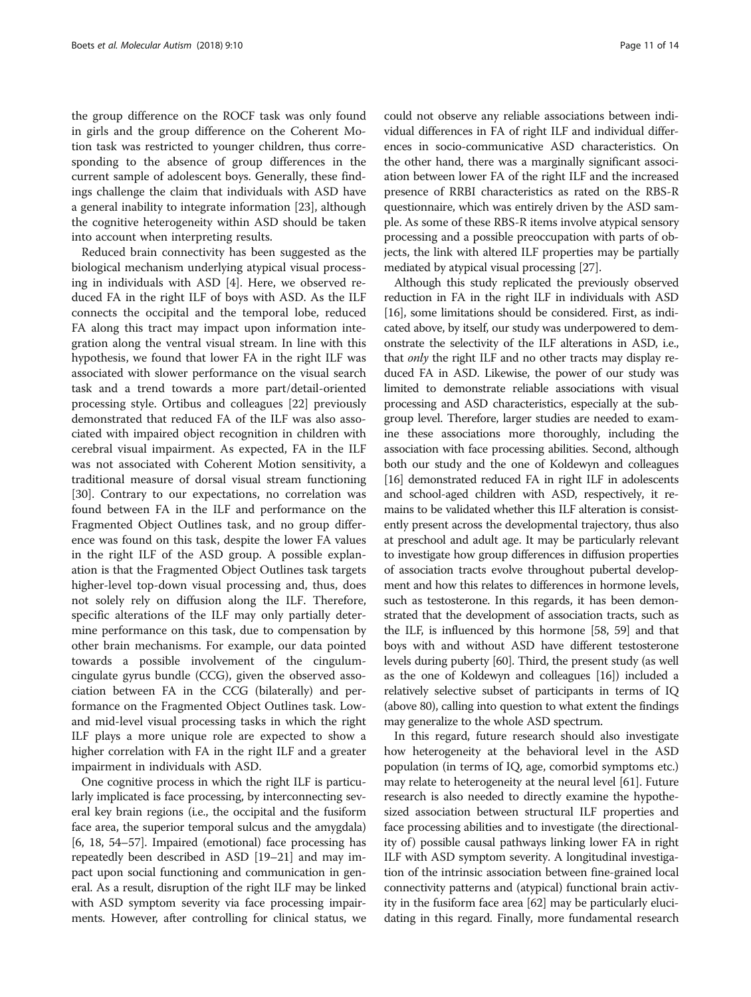the group difference on the ROCF task was only found in girls and the group difference on the Coherent Motion task was restricted to younger children, thus corresponding to the absence of group differences in the current sample of adolescent boys. Generally, these findings challenge the claim that individuals with ASD have a general inability to integrate information [[23](#page-12-0)], although the cognitive heterogeneity within ASD should be taken into account when interpreting results.

Reduced brain connectivity has been suggested as the biological mechanism underlying atypical visual processing in individuals with ASD [\[4](#page-12-0)]. Here, we observed reduced FA in the right ILF of boys with ASD. As the ILF connects the occipital and the temporal lobe, reduced FA along this tract may impact upon information integration along the ventral visual stream. In line with this hypothesis, we found that lower FA in the right ILF was associated with slower performance on the visual search task and a trend towards a more part/detail-oriented processing style. Ortibus and colleagues [[22\]](#page-12-0) previously demonstrated that reduced FA of the ILF was also associated with impaired object recognition in children with cerebral visual impairment. As expected, FA in the ILF was not associated with Coherent Motion sensitivity, a traditional measure of dorsal visual stream functioning [[30\]](#page-12-0). Contrary to our expectations, no correlation was found between FA in the ILF and performance on the Fragmented Object Outlines task, and no group difference was found on this task, despite the lower FA values in the right ILF of the ASD group. A possible explanation is that the Fragmented Object Outlines task targets higher-level top-down visual processing and, thus, does not solely rely on diffusion along the ILF. Therefore, specific alterations of the ILF may only partially determine performance on this task, due to compensation by other brain mechanisms. For example, our data pointed towards a possible involvement of the cingulumcingulate gyrus bundle (CCG), given the observed association between FA in the CCG (bilaterally) and performance on the Fragmented Object Outlines task. Lowand mid-level visual processing tasks in which the right ILF plays a more unique role are expected to show a higher correlation with FA in the right ILF and a greater impairment in individuals with ASD.

One cognitive process in which the right ILF is particularly implicated is face processing, by interconnecting several key brain regions (i.e., the occipital and the fusiform face area, the superior temporal sulcus and the amygdala) [[6, 18](#page-12-0), [54](#page-13-0)–[57\]](#page-13-0). Impaired (emotional) face processing has repeatedly been described in ASD [[19](#page-12-0)–[21\]](#page-12-0) and may impact upon social functioning and communication in general. As a result, disruption of the right ILF may be linked with ASD symptom severity via face processing impairments. However, after controlling for clinical status, we could not observe any reliable associations between individual differences in FA of right ILF and individual differences in socio-communicative ASD characteristics. On the other hand, there was a marginally significant association between lower FA of the right ILF and the increased presence of RRBI characteristics as rated on the RBS-R questionnaire, which was entirely driven by the ASD sample. As some of these RBS-R items involve atypical sensory processing and a possible preoccupation with parts of objects, the link with altered ILF properties may be partially mediated by atypical visual processing [\[27\]](#page-12-0).

Although this study replicated the previously observed reduction in FA in the right ILF in individuals with ASD [[16](#page-12-0)], some limitations should be considered. First, as indicated above, by itself, our study was underpowered to demonstrate the selectivity of the ILF alterations in ASD, i.e., that only the right ILF and no other tracts may display reduced FA in ASD. Likewise, the power of our study was limited to demonstrate reliable associations with visual processing and ASD characteristics, especially at the subgroup level. Therefore, larger studies are needed to examine these associations more thoroughly, including the association with face processing abilities. Second, although both our study and the one of Koldewyn and colleagues [[16](#page-12-0)] demonstrated reduced FA in right ILF in adolescents and school-aged children with ASD, respectively, it remains to be validated whether this ILF alteration is consistently present across the developmental trajectory, thus also at preschool and adult age. It may be particularly relevant to investigate how group differences in diffusion properties of association tracts evolve throughout pubertal development and how this relates to differences in hormone levels, such as testosterone. In this regards, it has been demonstrated that the development of association tracts, such as the ILF, is influenced by this hormone [\[58](#page-13-0), [59\]](#page-13-0) and that boys with and without ASD have different testosterone levels during puberty [[60](#page-13-0)]. Third, the present study (as well as the one of Koldewyn and colleagues [[16](#page-12-0)]) included a relatively selective subset of participants in terms of IQ (above 80), calling into question to what extent the findings may generalize to the whole ASD spectrum.

In this regard, future research should also investigate how heterogeneity at the behavioral level in the ASD population (in terms of IQ, age, comorbid symptoms etc.) may relate to heterogeneity at the neural level [\[61](#page-13-0)]. Future research is also needed to directly examine the hypothesized association between structural ILF properties and face processing abilities and to investigate (the directionality of) possible causal pathways linking lower FA in right ILF with ASD symptom severity. A longitudinal investigation of the intrinsic association between fine-grained local connectivity patterns and (atypical) functional brain activity in the fusiform face area [[62\]](#page-13-0) may be particularly elucidating in this regard. Finally, more fundamental research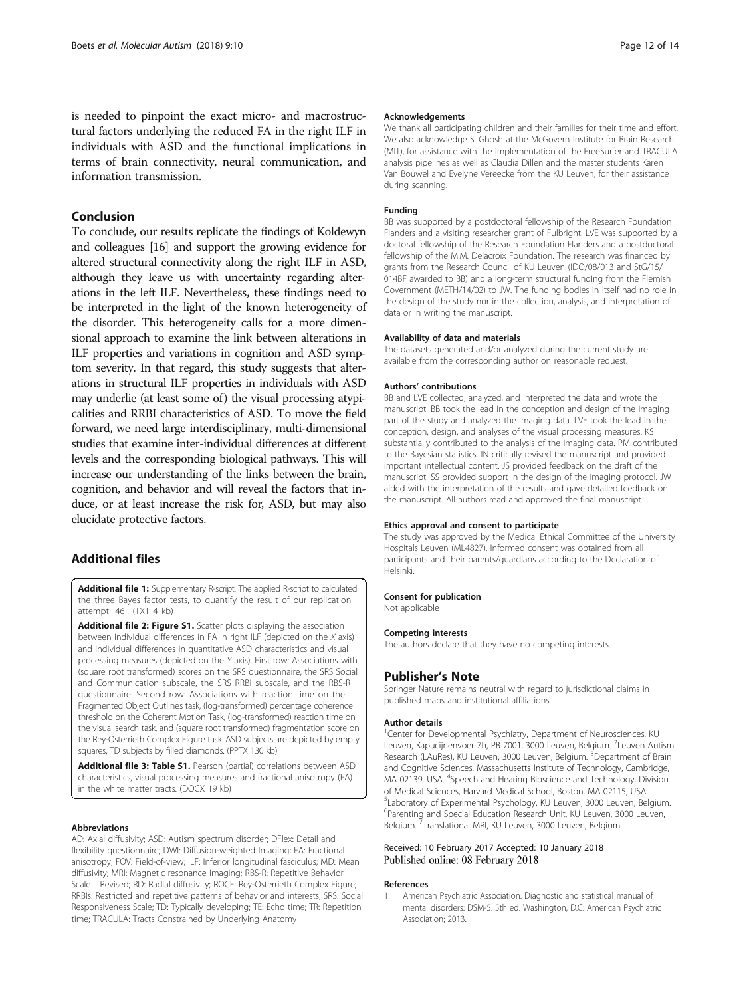<span id="page-11-0"></span>is needed to pinpoint the exact micro- and macrostructural factors underlying the reduced FA in the right ILF in individuals with ASD and the functional implications in terms of brain connectivity, neural communication, and information transmission.

## Conclusion

To conclude, our results replicate the findings of Koldewyn and colleagues [\[16\]](#page-12-0) and support the growing evidence for altered structural connectivity along the right ILF in ASD, although they leave us with uncertainty regarding alterations in the left ILF. Nevertheless, these findings need to be interpreted in the light of the known heterogeneity of the disorder. This heterogeneity calls for a more dimensional approach to examine the link between alterations in ILF properties and variations in cognition and ASD symptom severity. In that regard, this study suggests that alterations in structural ILF properties in individuals with ASD may underlie (at least some of) the visual processing atypicalities and RRBI characteristics of ASD. To move the field forward, we need large interdisciplinary, multi-dimensional studies that examine inter-individual differences at different levels and the corresponding biological pathways. This will increase our understanding of the links between the brain, cognition, and behavior and will reveal the factors that induce, or at least increase the risk for, ASD, but may also elucidate protective factors.

## Additional files

[Additional file 1:](dx.doi.org/10.1186/s13229-018-0188-6) Supplementary R-script. The applied R-script to calculated the three Bayes factor tests, to quantify the result of our replication attempt [[46\]](#page-12-0). (TXT 4 kb)

[Additional file 2: Figure S1.](dx.doi.org/10.1186/s13229-018-0188-6) Scatter plots displaying the association between individual differences in FA in right ILF (depicted on the X axis) and individual differences in quantitative ASD characteristics and visual processing measures (depicted on the Y axis). First row: Associations with (square root transformed) scores on the SRS questionnaire, the SRS Social and Communication subscale, the SRS RRBI subscale, and the RBS-R questionnaire. Second row: Associations with reaction time on the Fragmented Object Outlines task, (log-transformed) percentage coherence threshold on the Coherent Motion Task, (log-transformed) reaction time on the visual search task, and (square root transformed) fragmentation score on the Rey-Osterrieth Complex Figure task. ASD subjects are depicted by empty squares, TD subjects by filled diamonds. (PPTX 130 kb)

[Additional file 3: Table S1.](dx.doi.org/10.1186/s13229-018-0188-6) Pearson (partial) correlations between ASD characteristics, visual processing measures and fractional anisotropy (FA) in the white matter tracts. (DOCX 19 kb)

#### Abbreviations

AD: Axial diffusivity; ASD: Autism spectrum disorder; DFlex: Detail and flexibility questionnaire; DWI: Diffusion-weighted Imaging; FA: Fractional anisotropy; FOV: Field-of-view; ILF: Inferior longitudinal fasciculus; MD: Mean diffusivity; MRI: Magnetic resonance imaging; RBS-R: Repetitive Behavior Scale—Revised; RD: Radial diffusivity; ROCF: Rey-Osterrieth Complex Figure; RRBIs: Restricted and repetitive patterns of behavior and interests; SRS: Social Responsiveness Scale; TD: Typically developing; TE: Echo time; TR: Repetition time; TRACULA: Tracts Constrained by Underlying Anatomy

#### Acknowledgements

We thank all participating children and their families for their time and effort. We also acknowledge S. Ghosh at the McGovern Institute for Brain Research (MIT), for assistance with the implementation of the FreeSurfer and TRACULA analysis pipelines as well as Claudia Dillen and the master students Karen Van Bouwel and Evelyne Vereecke from the KU Leuven, for their assistance during scanning.

#### Funding

BB was supported by a postdoctoral fellowship of the Research Foundation Flanders and a visiting researcher grant of Fulbright. LVE was supported by a doctoral fellowship of the Research Foundation Flanders and a postdoctoral fellowship of the M.M. Delacroix Foundation. The research was financed by grants from the Research Council of KU Leuven (IDO/08/013 and StG/15/ 014BF awarded to BB) and a long-term structural funding from the Flemish Government (METH/14/02) to JW. The funding bodies in itself had no role in the design of the study nor in the collection, analysis, and interpretation of data or in writing the manuscript.

#### Availability of data and materials

The datasets generated and/or analyzed during the current study are available from the corresponding author on reasonable request.

#### Authors' contributions

BB and LVE collected, analyzed, and interpreted the data and wrote the manuscript. BB took the lead in the conception and design of the imaging part of the study and analyzed the imaging data. LVE took the lead in the conception, design, and analyses of the visual processing measures. KS substantially contributed to the analysis of the imaging data. PM contributed to the Bayesian statistics. IN critically revised the manuscript and provided important intellectual content. JS provided feedback on the draft of the manuscript. SS provided support in the design of the imaging protocol. JW aided with the interpretation of the results and gave detailed feedback on the manuscript. All authors read and approved the final manuscript.

#### Ethics approval and consent to participate

The study was approved by the Medical Ethical Committee of the University Hospitals Leuven (ML4827). Informed consent was obtained from all participants and their parents/guardians according to the Declaration of Helsinki.

#### Consent for publication

Not applicable

#### Competing interests

The authors declare that they have no competing interests.

#### Publisher's Note

Springer Nature remains neutral with regard to jurisdictional claims in published maps and institutional affiliations.

#### Author details

<sup>1</sup> Center for Developmental Psychiatry, Department of Neurosciences, KU Leuven, Kapucijnenvoer 7h, PB 7001, 3000 Leuven, Belgium. <sup>2</sup>Leuven Autism Research (LAuRes), KU Leuven, 3000 Leuven, Belgium. <sup>3</sup>Department of Brain and Cognitive Sciences, Massachusetts Institute of Technology, Cambridge, MA 02139, USA. <sup>4</sup>Speech and Hearing Bioscience and Technology, Division of Medical Sciences, Harvard Medical School, Boston, MA 02115, USA. 5 Laboratory of Experimental Psychology, KU Leuven, 3000 Leuven, Belgium. 6 Parenting and Special Education Research Unit, KU Leuven, 3000 Leuven, Belgium. <sup>7</sup> Translational MRI, KU Leuven, 3000 Leuven, Belgium.

#### Received: 10 February 2017 Accepted: 10 January 2018 Published online: 08 February 2018

#### References

1. American Psychiatric Association. Diagnostic and statistical manual of mental disorders: DSM-5. 5th ed. Washington, D.C: American Psychiatric Association; 2013.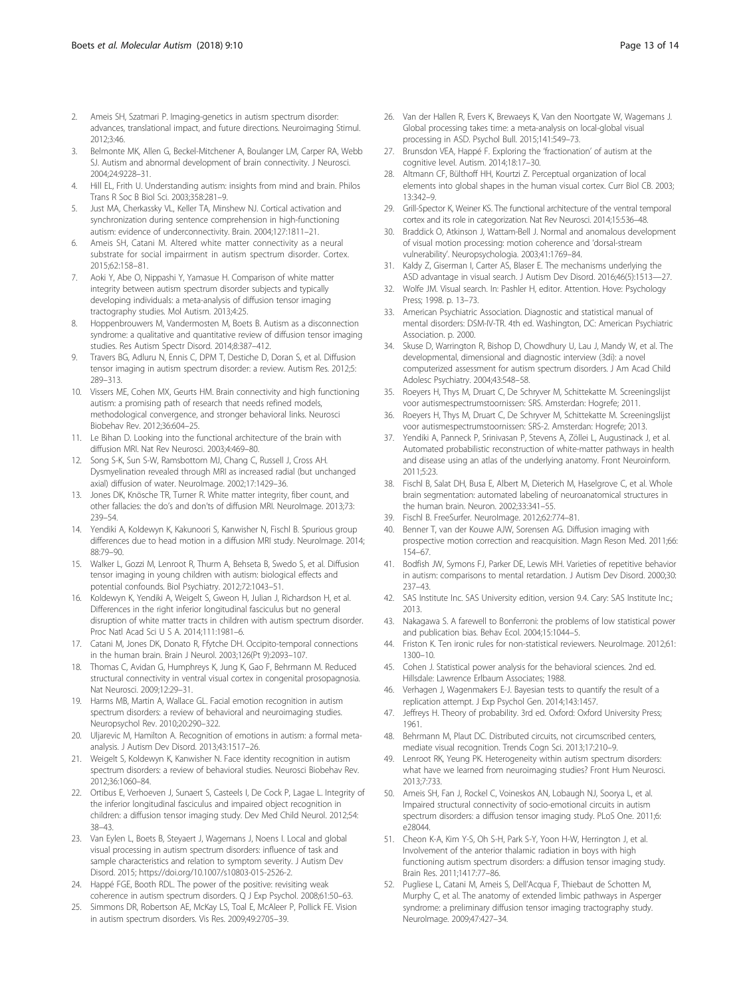- <span id="page-12-0"></span>2. Ameis SH, Szatmari P. Imaging-genetics in autism spectrum disorder: advances, translational impact, and future directions. Neuroimaging Stimul. 2012;3:46.
- 3. Belmonte MK, Allen G, Beckel-Mitchener A, Boulanger LM, Carper RA, Webb SJ. Autism and abnormal development of brain connectivity. J Neurosci. 2004;24:9228–31.
- 4. Hill EL, Frith U. Understanding autism: insights from mind and brain. Philos Trans R Soc B Biol Sci. 2003;358:281–9.
- 5. Just MA, Cherkassky VL, Keller TA, Minshew NJ. Cortical activation and synchronization during sentence comprehension in high-functioning autism: evidence of underconnectivity. Brain. 2004;127:1811–21.
- 6. Ameis SH, Catani M. Altered white matter connectivity as a neural substrate for social impairment in autism spectrum disorder. Cortex. 2015;62:158–81.
- Aoki Y, Abe O, Nippashi Y, Yamasue H. Comparison of white matter integrity between autism spectrum disorder subjects and typically developing individuals: a meta-analysis of diffusion tensor imaging tractography studies. Mol Autism. 2013;4:25.
- 8. Hoppenbrouwers M, Vandermosten M, Boets B. Autism as a disconnection syndrome: a qualitative and quantitative review of diffusion tensor imaging studies. Res Autism Spectr Disord. 2014;8:387–412.
- Travers BG, Adluru N, Ennis C, DPM T, Destiche D, Doran S, et al. Diffusion tensor imaging in autism spectrum disorder: a review. Autism Res. 2012;5: 289–313.
- 10. Vissers ME, Cohen MX, Geurts HM. Brain connectivity and high functioning autism: a promising path of research that needs refined models, methodological convergence, and stronger behavioral links. Neurosci Biobehav Rev. 2012;36:604–25.
- 11. Le Bihan D. Looking into the functional architecture of the brain with diffusion MRI. Nat Rev Neurosci. 2003;4:469–80.
- 12. Song S-K, Sun S-W, Ramsbottom MJ, Chang C, Russell J, Cross AH. Dysmyelination revealed through MRI as increased radial (but unchanged axial) diffusion of water. NeuroImage. 2002;17:1429–36.
- 13. Jones DK, Knösche TR, Turner R. White matter integrity, fiber count, and other fallacies: the do's and don'ts of diffusion MRI. NeuroImage. 2013;73: 239–54.
- 14. Yendiki A, Koldewyn K, Kakunoori S, Kanwisher N, Fischl B. Spurious group differences due to head motion in a diffusion MRI study. NeuroImage. 2014; 88:79–90.
- 15. Walker L, Gozzi M, Lenroot R, Thurm A, Behseta B, Swedo S, et al. Diffusion tensor imaging in young children with autism: biological effects and potential confounds. Biol Psychiatry. 2012;72:1043–51.
- 16. Koldewyn K, Yendiki A, Weigelt S, Gweon H, Julian J, Richardson H, et al. Differences in the right inferior longitudinal fasciculus but no general disruption of white matter tracts in children with autism spectrum disorder. Proc Natl Acad Sci U S A. 2014;111:1981–6.
- 17. Catani M, Jones DK, Donato R, Ffytche DH. Occipito-temporal connections in the human brain. Brain J Neurol. 2003;126(Pt 9):2093–107.
- 18. Thomas C, Avidan G, Humphreys K, Jung K, Gao F, Behrmann M. Reduced structural connectivity in ventral visual cortex in congenital prosopagnosia. Nat Neurosci. 2009;12:29–31.
- 19. Harms MB, Martin A, Wallace GL. Facial emotion recognition in autism spectrum disorders: a review of behavioral and neuroimaging studies. Neuropsychol Rev. 2010;20:290–322.
- 20. Uljarevic M, Hamilton A. Recognition of emotions in autism: a formal metaanalysis. J Autism Dev Disord. 2013;43:1517–26.
- 21. Weigelt S, Koldewyn K, Kanwisher N. Face identity recognition in autism spectrum disorders: a review of behavioral studies. Neurosci Biobehav Rev. 2012;36:1060–84.
- 22. Ortibus E, Verhoeven J, Sunaert S, Casteels I, De Cock P, Lagae L. Integrity of the inferior longitudinal fasciculus and impaired object recognition in children: a diffusion tensor imaging study. Dev Med Child Neurol. 2012;54: 38–43.
- 23. Van Eylen L, Boets B, Steyaert J, Wagemans J, Noens I. Local and global visual processing in autism spectrum disorders: influence of task and sample characteristics and relation to symptom severity. J Autism Dev Disord. 2015; [https://doi.org/10.1007/s10803-015-2526-2.](http://dx.doi.org/10.1007/s10803-015-2526-2)
- 24. Happé FGE, Booth RDL. The power of the positive: revisiting weak coherence in autism spectrum disorders. Q J Exp Psychol. 2008;61:50–63.
- 25. Simmons DR, Robertson AE, McKay LS, Toal E, McAleer P, Pollick FE. Vision in autism spectrum disorders. Vis Res. 2009;49:2705–39.
- 26. Van der Hallen R, Evers K, Brewaeys K, Van den Noortgate W, Wagemans J. Global processing takes time: a meta-analysis on local-global visual processing in ASD. Psychol Bull. 2015;141:549–73.
- 27. Brunsdon VEA, Happé F. Exploring the 'fractionation' of autism at the cognitive level. Autism. 2014;18:17–30.
- 28. Altmann CF, Bülthoff HH, Kourtzi Z. Perceptual organization of local elements into global shapes in the human visual cortex. Curr Biol CB. 2003; 13:342–9.
- 29. Grill-Spector K, Weiner KS. The functional architecture of the ventral temporal cortex and its role in categorization. Nat Rev Neurosci. 2014;15:536–48.
- 30. Braddick O, Atkinson J, Wattam-Bell J. Normal and anomalous development of visual motion processing: motion coherence and 'dorsal-stream vulnerability'. Neuropsychologia. 2003;41:1769–84.
- 31. Kaldy Z, Giserman I, Carter AS, Blaser E. The mechanisms underlying the ASD advantage in visual search. J Autism Dev Disord. 2016;46(5):1513—27.
- 32. Wolfe JM. Visual search. In: Pashler H, editor. Attention. Hove: Psychology Press; 1998. p. 13–73.
- 33. American Psychiatric Association. Diagnostic and statistical manual of mental disorders: DSM-IV-TR. 4th ed. Washington, DC: American Psychiatric Association. p. 2000.
- 34. Skuse D, Warrington R, Bishop D, Chowdhury U, Lau J, Mandy W, et al. The developmental, dimensional and diagnostic interview (3di): a novel computerized assessment for autism spectrum disorders. J Am Acad Child Adolesc Psychiatry. 2004;43:548–58.
- 35. Roeyers H, Thys M, Druart C, De Schryver M, Schittekatte M. Screeningslijst voor autismespectrumstoornissen: SRS. Amsterdan: Hogrefe; 2011.
- 36. Roeyers H, Thys M, Druart C, De Schryver M, Schittekatte M. Screeningslijst voor autismespectrumstoornissen: SRS-2. Amsterdan: Hogrefe; 2013.
- 37. Yendiki A, Panneck P, Srinivasan P, Stevens A, Zöllei L, Augustinack J, et al. Automated probabilistic reconstruction of white-matter pathways in health and disease using an atlas of the underlying anatomy. Front Neuroinform. 2011;5:23.
- 38. Fischl B, Salat DH, Busa E, Albert M, Dieterich M, Haselgrove C, et al. Whole brain segmentation: automated labeling of neuroanatomical structures in the human brain. Neuron. 2002;33:341–55.
- 39. Fischl B. FreeSurfer. NeuroImage. 2012;62:774–81.
- 40. Benner T, van der Kouwe AJW, Sorensen AG. Diffusion imaging with prospective motion correction and reacquisition. Magn Reson Med. 2011;66: 154–67.
- 41. Bodfish JW, Symons FJ, Parker DE, Lewis MH. Varieties of repetitive behavior in autism: comparisons to mental retardation. J Autism Dev Disord. 2000;30: 237–43.
- 42. SAS Institute Inc. SAS University edition, version 9.4. Cary: SAS Institute Inc.; 2013.
- 43. Nakagawa S. A farewell to Bonferroni: the problems of low statistical power and publication bias. Behav Ecol. 2004;15:1044–5.
- Friston K. Ten ironic rules for non-statistical reviewers. NeuroImage. 2012;61: 1300–10.
- 45. Cohen J. Statistical power analysis for the behavioral sciences. 2nd ed. Hillsdale: Lawrence Erlbaum Associates; 1988.
- 46. Verhagen J, Wagenmakers E-J. Bayesian tests to quantify the result of a replication attempt. J Exp Psychol Gen. 2014;143:1457.
- 47. Jeffreys H. Theory of probability. 3rd ed. Oxford: Oxford University Press; 1961.
- 48. Behrmann M, Plaut DC. Distributed circuits, not circumscribed centers, mediate visual recognition. Trends Cogn Sci. 2013;17:210–9.
- 49. Lenroot RK, Yeung PK. Heterogeneity within autism spectrum disorders: what have we learned from neuroimaging studies? Front Hum Neurosci. 2013;7:733.
- 50. Ameis SH, Fan J, Rockel C, Voineskos AN, Lobaugh NJ, Soorya L, et al. Impaired structural connectivity of socio-emotional circuits in autism spectrum disorders: a diffusion tensor imaging study. PLoS One. 2011;6: e28044.
- 51. Cheon K-A, Kim Y-S, Oh S-H, Park S-Y, Yoon H-W, Herrington J, et al. Involvement of the anterior thalamic radiation in boys with high functioning autism spectrum disorders: a diffusion tensor imaging study. Brain Res. 2011;1417:77–86.
- 52. Pugliese L, Catani M, Ameis S, Dell'Acqua F, Thiebaut de Schotten M, Murphy C, et al. The anatomy of extended limbic pathways in Asperger syndrome: a preliminary diffusion tensor imaging tractography study. NeuroImage. 2009;47:427–34.